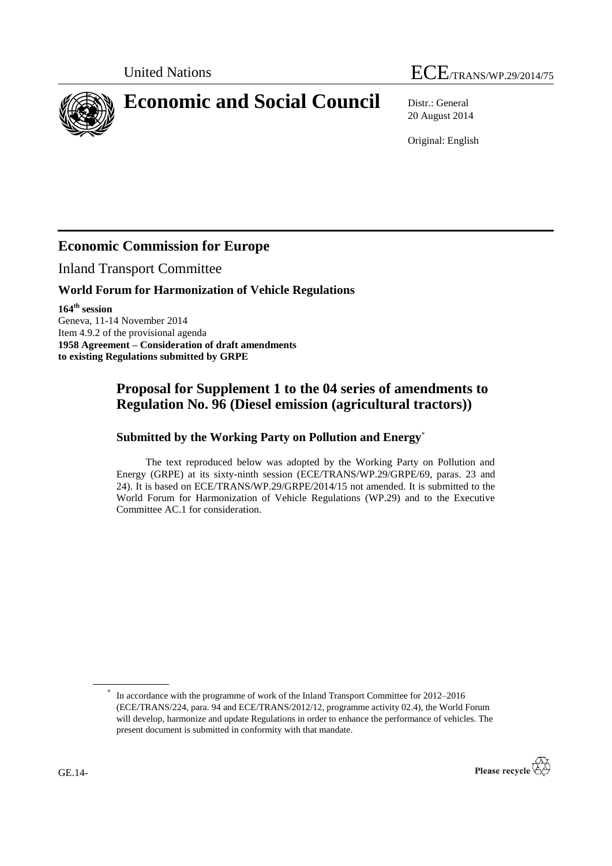# United Nations ECE/TRANS/WP.29/2014/75

**Economic and Social Council** Distr.: General

20 August 2014

Original: English

## **Economic Commission for Europe**

Inland Transport Committee

#### **World Forum for Harmonization of Vehicle Regulations**

**164th session** Geneva, 11-14 November 2014 Item 4.9.2 of the provisional agenda **1958 Agreement – Consideration of draft amendments to existing Regulations submitted by GRPE**

### **Proposal for Supplement 1 to the 04 series of amendments to Regulation No. 96 (Diesel emission (agricultural tractors))**

#### **Submitted by the Working Party on Pollution and Energy**\*

The text reproduced below was adopted by the Working Party on Pollution and Energy (GRPE) at its sixty-ninth session (ECE/TRANS/WP.29/GRPE/69, paras. 23 and 24). It is based on ECE/TRANS/WP.29/GRPE/2014/15 not amended. It is submitted to the World Forum for Harmonization of Vehicle Regulations (WP.29) and to the Executive Committee AC.1 for consideration.

<sup>\*</sup> In accordance with the programme of work of the Inland Transport Committee for 2012–2016 (ECE/TRANS/224, para. 94 and ECE/TRANS/2012/12, programme activity 02.4), the World Forum will develop, harmonize and update Regulations in order to enhance the performance of vehicles. The present document is submitted in conformity with that mandate.